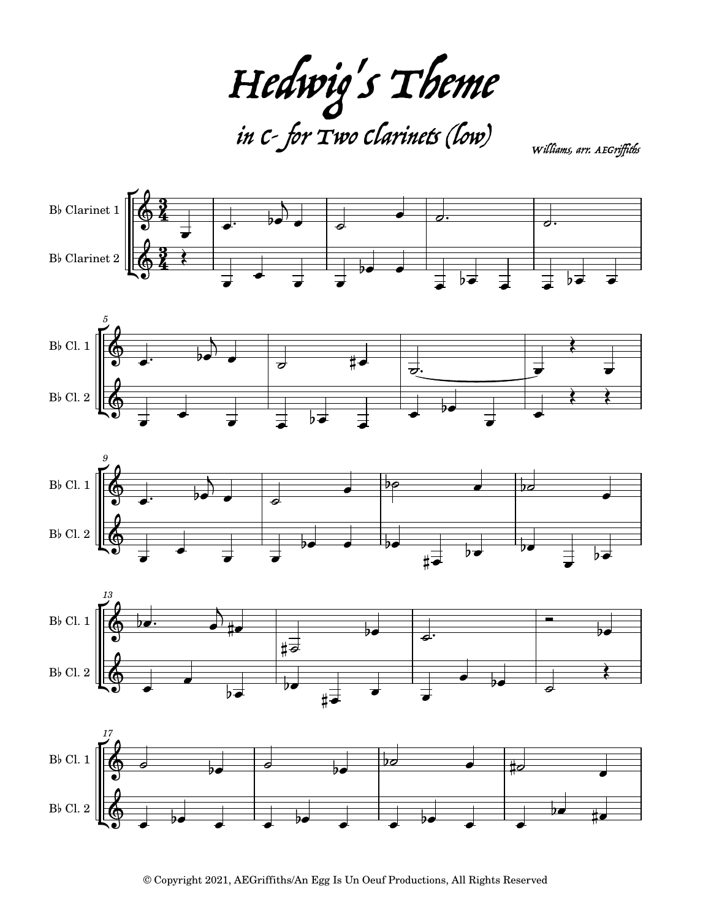Hedwig's Theme in C- for Two Clarinets (low)

Williams, arr. AEGriffiths